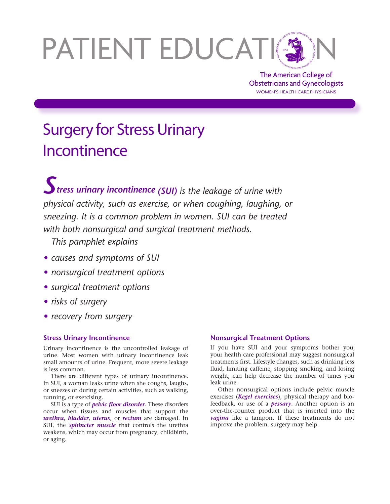# PATIENT EDUCATION

The American College of Obstetricians and Gynecologists WOMEN'S HEALTH CARE PHYSICIANS

# Surgery for Stress Urinary **Incontinence**

*Stress urinary incontinence (SUI) is the leakage of urine with physical activity, such as exercise, or when coughing, laughing, or sneezing. It is a common problem in women. SUI can be treated with both nonsurgical and surgical treatment methods.* 

*This pamphlet explains*

- *• causes and symptoms of SUI*
- *• nonsurgical treatment options*
- *• surgical treatment options*
- *• risks of surgery*
- *• recovery from surgery*

# **Stress Urinary Incontinence**

Urinary incontinence is the uncontrolled leakage of urine. Most women with urinary incontinence leak small amounts of urine. Frequent, more severe leakage is less common.

There are different types of urinary incontinence. In SUI, a woman leaks urine when she coughs, laughs, or sneezes or during certain activities, such as walking, running, or exercising.

SUI is a type of *pelvic floor disorder*. These disorders occur when tissues and muscles that support the *urethra*, *bladder*, *uterus*, or *rectum* are damaged. In SUI, the *sphincter muscle* that controls the urethra weakens, which may occur from pregnancy, childbirth, or aging.

# **Nonsurgical Treatment Options**

If you have SUI and your symptoms bother you, your health care professional may suggest nonsurgical treatments first. Lifestyle changes, such as drinking less fluid, limiting caffeine, stopping smoking, and losing weight, can help decrease the number of times you leak urine.

Other nonsurgical options include pelvic muscle exercises (*Kegel exercises*), physical therapy and biofeedback, or use of a *pessary*. Another option is an over-the-counter product that is inserted into the *vagina* like a tampon. If these treatments do not improve the problem, surgery may help.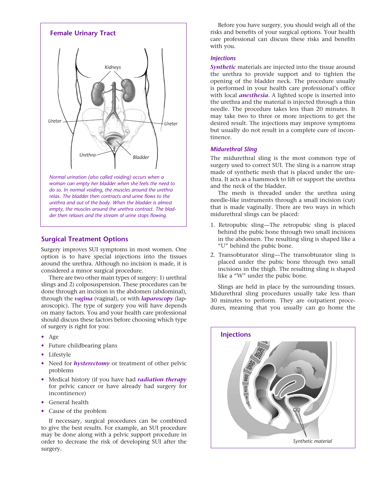

*urethra and out of the body. When the bladder is almost empty, the muscles around the urethra contract. The bladder then relaxes and the stream of urine stops flowing.*

### **Surgical Treatment Options**

Surgery improves SUI symptoms in most women. One option is to have special injections into the tissues around the urethra. Although no incision is made, it is considered a minor surgical procedure.

There are two other main types of surgery: 1) urethral slings and 2) colposuspension. These procedures can be done through an incision in the abdomen (abdominal), through the *vagina* (vaginal), or with *laparoscopy* (laparoscopic). The type of surgery you will have depends on many factors. You and your health care professional should discuss these factors before choosing which type of surgery is right for you:

- Age
- Future childbearing plans
- Lifestyle
- Need for *hysterectomy* or treatment of other pelvic problems
- Medical history (if you have had *radiation therapy* for pelvic cancer or have already had surgery for incontinence)
- General health
- Cause of the problem

If necessary, surgical procedures can be combined to give the best results. For example, an SUI procedure may be done along with a pelvic support procedure in order to decrease the risk of developing SUI after the surgery.

Before you have surgery, you should weigh all of the risks and benefits of your surgical options. Your health care professional can discuss these risks and benefits with you.

#### *Injections*

*Synthetic* materials are injected into the tissue around the urethra to provide support and to tighten the opening of the bladder neck. The procedure usually is performed in your health care professional's office with local *anesthesia*. A lighted scope is inserted into the urethra and the material is injected through a thin needle. The procedure takes less than 20 minutes. It may take two to three or more injections to get the desired result. The injections may improve symptoms but usually do not result in a complete cure of incontinence.

#### *Midurethral Sling*

The midurethral sling is the most common type of surgery used to correct SUI. The sling is a narrow strap made of synthetic mesh that is placed under the urethra. It acts as a hammock to lift or support the urethra and the neck of the bladder.

The mesh is threaded under the urethra using needle-like instruments through a small incision (cut) that is made vaginally. There are two ways in which midurethral slings can be placed:

- 1. Retropubic sling—The retropubic sling is placed behind the pubic bone through two small incisions in the abdomen. The resulting sling is shaped like a "U" behind the pubic bone.
- 2. Transobturator sling—The transobturator sling is placed under the pubic bone through two small incisions in the thigh. The resulting sling is shaped like a "W" under the pubic bone.

Slings are held in place by the surrounding tissues. Midurethral sling procedures usually take less than 30 minutes to perform. They are outpatient procedures, meaning that you usually can go home the

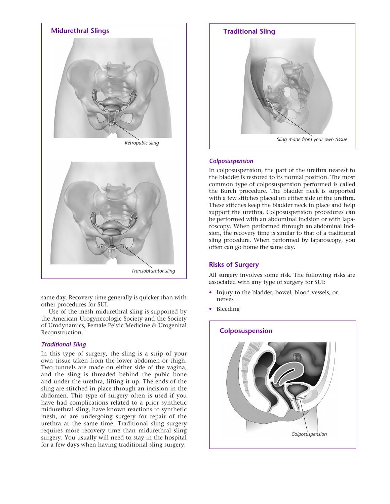

same day. Recovery time generally is quicker than with other procedures for SUI.

Use of the mesh midurethral sling is supported by the American Urogynecologic Society and the Society of Urodynamics, Female Pelvic Medicine & Urogenital Reconstruction.

#### *Traditional Sling*

In this type of surgery, the sling is a strip of your own tissue taken from the lower abdomen or thigh. Two tunnels are made on either side of the vagina, and the sling is threaded behind the pubic bone and under the urethra, lifting it up. The ends of the sling are stitched in place through an incision in the abdomen. This type of surgery often is used if you have had complications related to a prior synthetic midurethral sling, have known reactions to synthetic mesh, or are undergoing surgery for repair of the urethra at the same time. Traditional sling surgery requires more recovery time than midurethral sling surgery. You usually will need to stay in the hospital for a few days when having traditional sling surgery.



#### *Colposuspension*

In colposuspension, the part of the urethra nearest to the bladder is restored to its normal position. The most common type of colposuspension performed is called the Burch procedure. The bladder neck is supported with a few stitches placed on either side of the urethra. These stitches keep the bladder neck in place and help support the urethra. Colposuspension procedures can be performed with an abdominal incision or with laparoscopy. When performed through an abdominal incision, the recovery time is similar to that of a traditional sling procedure. When performed by laparoscopy, you often can go home the same day.

#### **Risks of Surgery**

All surgery involves some risk. The following risks are associated with any type of surgery for SUI:

- Injury to the bladder, bowel, blood vessels, or nerves
- Bleeding

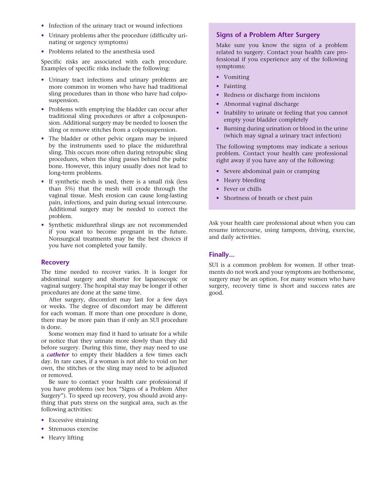- Infection of the urinary tract or wound infections
- Urinary problems after the procedure (difficulty urinating or urgency symptoms)
- Problems related to the anesthesia used

Specific risks are associated with each procedure. Examples of specific risks include the following:

- Urinary tract infections and urinary problems are more common in women who have had traditional sling procedures than in those who have had colposuspension.
- Problems with emptying the bladder can occur after traditional sling procedures or after a colposuspension. Additional surgery may be needed to loosen the sling or remove stitches from a colposuspension.
- The bladder or other pelvic organs may be injured by the instruments used to place the midurethral sling. This occurs more often during retropubic sling procedures, when the sling passes behind the pubic bone. However, this injury usually does not lead to long-term problems.
- If synthetic mesh is used, there is a small risk (less than 5%) that the mesh will erode through the vaginal tissue. Mesh erosion can cause long-lasting pain, infections, and pain during sexual intercourse. Additional surgery may be needed to correct the problem.
- Synthetic midurethral slings are not recommended if you want to become pregnant in the future. Nonsurgical treatments may be the best choices if you have not completed your family.

#### **Recovery**

The time needed to recover varies. It is longer for abdominal surgery and shorter for laparoscopic or vaginal surgery. The hospital stay may be longer if other procedures are done at the same time.

After surgery, discomfort may last for a few days or weeks. The degree of discomfort may be different for each woman. If more than one procedure is done, there may be more pain than if only an SUI procedure is done.

Some women may find it hard to urinate for a while or notice that they urinate more slowly than they did before surgery. During this time, they may need to use a *catheter* to empty their bladders a few times each day. In rare cases, if a woman is not able to void on her own, the stitches or the sling may need to be adjusted or removed.

Be sure to contact your health care professional if you have problems (see box "Signs of a Problem After Surgery"). To speed up recovery, you should avoid anything that puts stress on the surgical area, such as the following activities:

- Excessive straining
- Strenuous exercise
- Heavy lifting

# **Signs of a Problem After Surgery**

Make sure you know the signs of a problem related to surgery. Contact your health care professional if you experience any of the following symptoms:

- Vomiting
- Fainting
- Redness or discharge from incisions
- Abnormal vaginal discharge
- Inability to urinate or feeling that you cannot empty your bladder completely
- Burning during urination or blood in the urine (which may signal a urinary tract infection)

The following symptoms may indicate a serious problem. Contact your health care professional right away if you have any of the following:

- Severe abdominal pain or cramping
- Heavy bleeding
- Fever or chills
- Shortness of breath or chest pain

Ask your health care professional about when you can resume intercourse, using tampons, driving, exercise, and daily activities.

#### **Finally...**

SUI is a common problem for women. If other treatments do not work and your symptoms are bothersome, surgery may be an option. For many women who have surgery, recovery time is short and success rates are good.